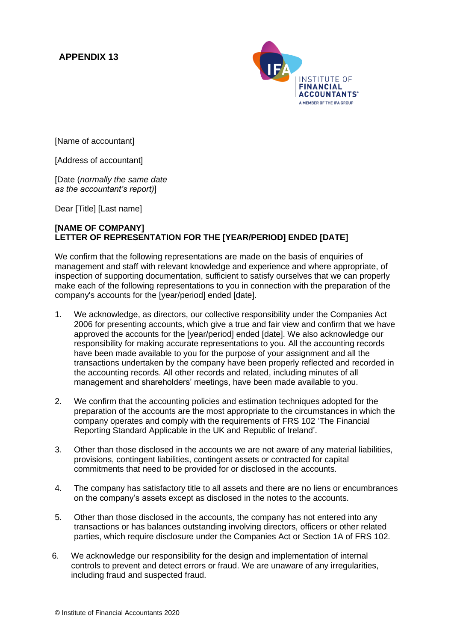## **APPENDIX 13**



[Name of accountant]

[Address of accountant]

[Date (*normally the same date as the accountant's report)*]

Dear [Title] [Last name]

## **[NAME OF COMPANY] LETTER OF REPRESENTATION FOR THE [YEAR/PERIOD] ENDED [DATE]**

We confirm that the following representations are made on the basis of enquiries of management and staff with relevant knowledge and experience and where appropriate, of inspection of supporting documentation, sufficient to satisfy ourselves that we can properly make each of the following representations to you in connection with the preparation of the company's accounts for the [year/period] ended [date].

- 1. We acknowledge, as directors, our collective responsibility under the Companies Act 2006 for presenting accounts, which give a true and fair view and confirm that we have approved the accounts for the [year/period] ended [date]. We also acknowledge our responsibility for making accurate representations to you. All the accounting records have been made available to you for the purpose of your assignment and all the transactions undertaken by the company have been properly reflected and recorded in the accounting records. All other records and related, including minutes of all management and shareholders' meetings, have been made available to you.
- 2. We confirm that the accounting policies and estimation techniques adopted for the preparation of the accounts are the most appropriate to the circumstances in which the company operates and comply with the requirements of FRS 102 'The Financial Reporting Standard Applicable in the UK and Republic of Ireland'.
- 3. Other than those disclosed in the accounts we are not aware of any material liabilities, provisions, contingent liabilities, contingent assets or contracted for capital commitments that need to be provided for or disclosed in the accounts.
- 4. The company has satisfactory title to all assets and there are no liens or encumbrances on the company's assets except as disclosed in the notes to the accounts.
- 5. Other than those disclosed in the accounts, the company has not entered into any transactions or has balances outstanding involving directors, officers or other related parties, which require disclosure under the Companies Act or Section 1A of FRS 102.
- 6. We acknowledge our responsibility for the design and implementation of internal controls to prevent and detect errors or fraud. We are unaware of any irregularities, including fraud and suspected fraud.